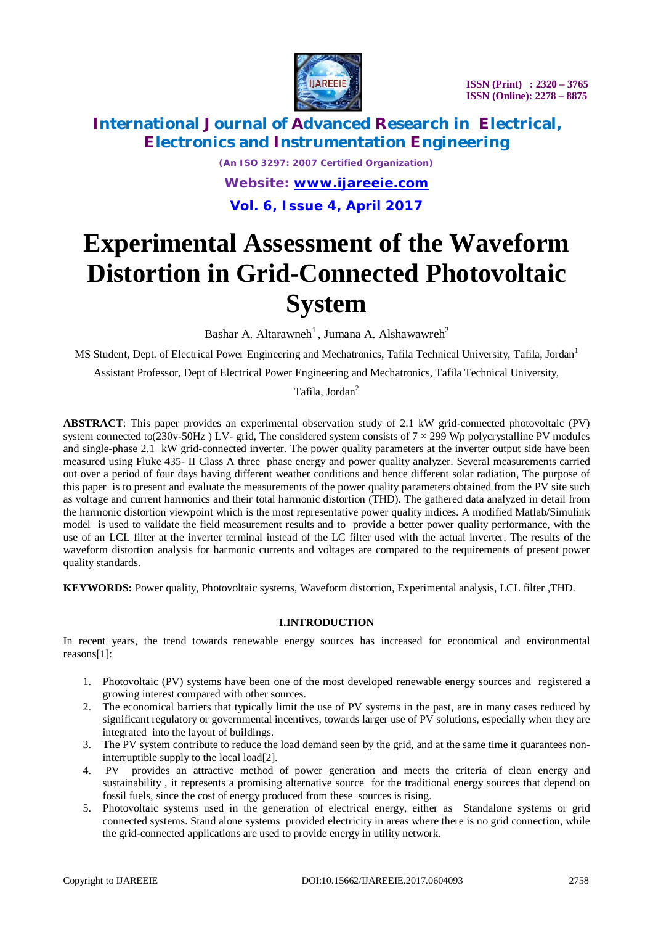

# **International Journal of Advanced Research in Electrical, Electronics and Instrumentation Engineering**

*(An ISO 3297: 2007 Certified Organization) Website: [www.ijareeie.com](http://www.ijareeie.com)* **Vol. 6, Issue 4, April 2017**

# **Experimental Assessment of the Waveform Distortion in Grid-Connected Photovoltaic System**

Bashar A. Altarawneh<sup>1</sup>, Jumana A. Alshawawreh<sup>2</sup>

MS Student, Dept. of Electrical Power Engineering and Mechatronics, Tafila Technical University, Tafila, Jordan<sup>1</sup>

Assistant Professor*,* Dept of Electrical Power Engineering and Mechatronics, Tafila Technical University,

Tafila, Jordan<sup>2</sup>

**ABSTRACT**: This paper provides an experimental observation study of 2.1 kW grid-connected photovoltaic (PV) system connected to(230v-50Hz) LV- grid, The considered system consists of  $7 \times 299$  Wp polycrystalline PV modules and single-phase 2.1 kW grid-connected inverter. The power quality parameters at the inverter output side have been measured using Fluke 435- II Class A three phase energy and power quality analyzer. Several measurements carried out over a period of four days having different weather conditions and hence different solar radiation, The purpose of this paper is to present and evaluate the measurements of the power quality parameters obtained from the PV site such as voltage and current harmonics and their total harmonic distortion (THD). The gathered data analyzed in detail from the harmonic distortion viewpoint which is the most representative power quality indices. A modified Matlab/Simulink model is used to validate the field measurement results and to provide a better power quality performance, with the use of an LCL filter at the inverter terminal instead of the LC filter used with the actual inverter. The results of the waveform distortion analysis for harmonic currents and voltages are compared to the requirements of present power quality standards.

**KEYWORDS:** Power quality, Photovoltaic systems, Waveform distortion, Experimental analysis, LCL filter ,THD.

#### **I.INTRODUCTION**

In recent years, the trend towards renewable energy sources has increased for economical and environmental reasons[1]:

- 1. Photovoltaic (PV) systems have been one of the most developed renewable energy sources and registered a growing interest compared with other sources.
- 2. The economical barriers that typically limit the use of PV systems in the past, are in many cases reduced by significant regulatory or governmental incentives, towards larger use of PV solutions, especially when they are integrated into the layout of buildings.
- 3. The PV system contribute to reduce the load demand seen by the grid, and at the same time it guarantees noninterruptible supply to the local load[2].
- 4. PV provides an attractive method of power generation and meets the criteria of clean energy and sustainability , it represents a promising alternative source for the traditional energy sources that depend on fossil fuels, since the cost of energy produced from these sources is rising.
- 5. Photovoltaic systems used in the generation of electrical energy, either as Standalone systems or grid connected systems. Stand alone systems provided electricity in areas where there is no grid connection, while the grid-connected applications are used to provide energy in utility network.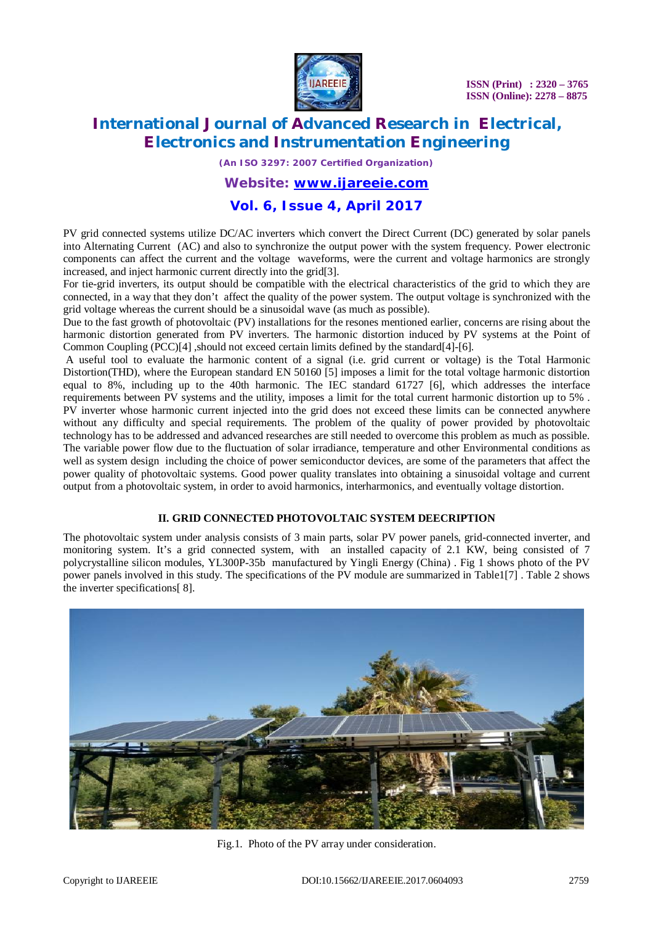

# **International Journal of Advanced Research in Electrical, Electronics and Instrumentation Engineering**

*(An ISO 3297: 2007 Certified Organization)*

### *Website: [www.ijareeie.com](http://www.ijareeie.com)*

### **Vol. 6, Issue 4, April 2017**

PV grid connected systems utilize DC/AC inverters which convert the Direct Current (DC) generated by solar panels into Alternating Current (AC) and also to synchronize the output power with the system frequency. Power electronic components can affect the current and the voltage waveforms, were the current and voltage harmonics are strongly increased, and inject harmonic current directly into the grid[3].

For tie-grid inverters, its output should be compatible with the electrical characteristics of the grid to which they are connected, in a way that they don't affect the quality of the power system. The output voltage is synchronized with the grid voltage whereas the current should be a sinusoidal wave (as much as possible).

Due to the fast growth of photovoltaic (PV) installations for the resones mentioned earlier, concerns are rising about the harmonic distortion generated from PV inverters. The harmonic distortion induced by PV systems at the Point of Common Coupling (PCC)[4] ,should not exceed certain limits defined by the standard[4]-[6].

A useful tool to evaluate the harmonic content of a signal (i.e. grid current or voltage) is the Total Harmonic Distortion(THD), where the European standard EN 50160 [5] imposes a limit for the total voltage harmonic distortion equal to 8%, including up to the 40th harmonic. The IEC standard 61727 [6], which addresses the interface requirements between PV systems and the utility, imposes a limit for the total current harmonic distortion up to 5% . PV inverter whose harmonic current injected into the grid does not exceed these limits can be connected anywhere without any difficulty and special requirements. The problem of the quality of power provided by photovoltaic technology has to be addressed and advanced researches are still needed to overcome this problem as much as possible. The variable power flow due to the fluctuation of solar irradiance, temperature and other Environmental conditions as well as system design including the choice of power semiconductor devices, are some of the parameters that affect the power quality of photovoltaic systems. Good power quality translates into obtaining a sinusoidal voltage and current output from a photovoltaic system, in order to avoid harmonics, interharmonics, and eventually voltage distortion.

#### **II. GRID CONNECTED PHOTOVOLTAIC SYSTEM DEECRIPTION**

The photovoltaic system under analysis consists of 3 main parts, solar PV power panels, grid-connected inverter, and monitoring system. It's a grid connected system, with an installed capacity of 2.1 KW, being consisted of 7 polycrystalline silicon modules, YL300P-35b manufactured by Yingli Energy (China) . Fig 1 shows photo of the PV power panels involved in this study. The specifications of the PV module are summarized in Table1[7] . Table 2 shows the inverter specifications[ 8].



Fig.1. Photo of the PV array under consideration.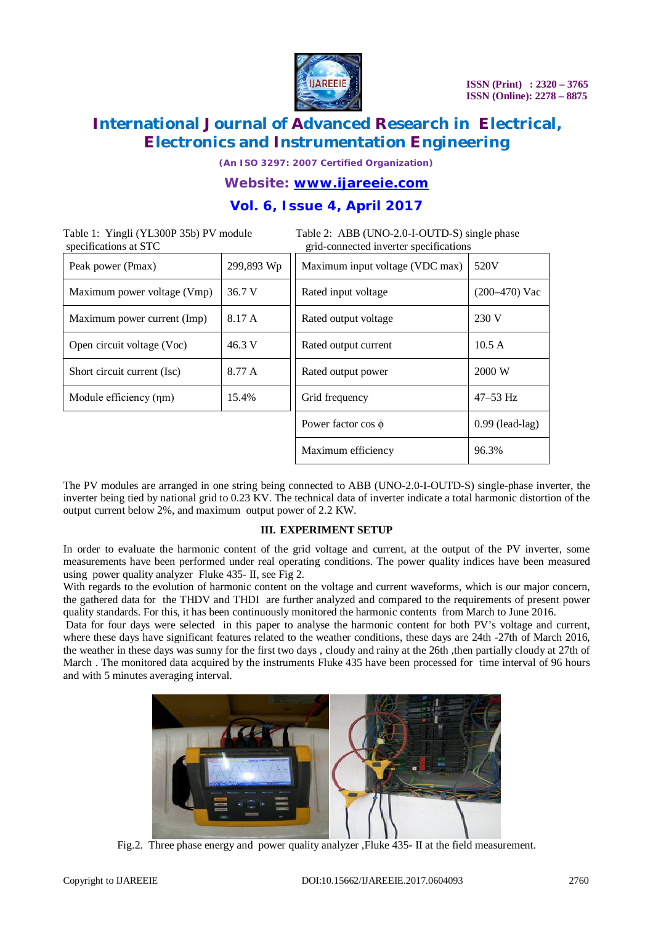

*(An ISO 3297: 2007 Certified Organization)*

### *Website: [www.ijareeie.com](http://www.ijareeie.com)*

### **Vol. 6, Issue 4, April 2017**

Table 1: Yingli (YL300P 35b) PV module Table 2: ABB (UNO-2.0-I-OUTD-S) single phase<br>specifications at STC rid-connected inverter specifications grid-connected inverter specifications

| Peak power (Pmax)           | 299,893 Wp | Maximum input voltage (VDC max) | 520V              |
|-----------------------------|------------|---------------------------------|-------------------|
| Maximum power voltage (Vmp) | 36.7 V     | Rated input voltage             | $(200-470)$ Vac   |
| Maximum power current (Imp) | 8.17 A     | Rated output voltage            | 230 V             |
| Open circuit voltage (Voc)  | 46.3 V     | Rated output current            | 10.5A             |
| Short circuit current (Isc) | 8.77 A     | Rated output power              | 2000 W            |
| Module efficiency (nm)      | 15.4%      | Grid frequency                  | $47 - 53$ Hz      |
|                             |            | Power factor $\cos \phi$        | $0.99$ (lead-lag) |
|                             |            | Maximum efficiency              | 96.3%             |

The PV modules are arranged in one string being connected to ABB (UNO-2.0-I-OUTD-S) single-phase inverter, the inverter being tied by national grid to 0.23 KV. The technical data of inverter indicate a total harmonic distortion of the output current below 2%, and maximum output power of 2.2 KW.

#### **III. EXPERIMENT SETUP**

In order to evaluate the harmonic content of the grid voltage and current, at the output of the PV inverter, some measurements have been performed under real operating conditions. The power quality indices have been measured using power quality analyzer Fluke 435- II, see Fig 2.

With regards to the evolution of harmonic content on the voltage and current waveforms, which is our major concern, the gathered data for the THDV and THDI are further analyzed and compared to the requirements of present power quality standards. For this, it has been continuously monitored the harmonic contents from March to June 2016.

Data for four days were selected in this paper to analyse the harmonic content for both PV's voltage and current, where these days have significant features related to the weather conditions, these days are 24th -27th of March 2016, the weather in these days was sunny for the first two days , cloudy and rainy at the 26th ,then partially cloudy at 27th of March . The monitored data acquired by the instruments Fluke 435 have been processed for time interval of 96 hours and with 5 minutes averaging interval.



Fig.2. Three phase energy and power quality analyzer ,Fluke 435- II at the field measurement.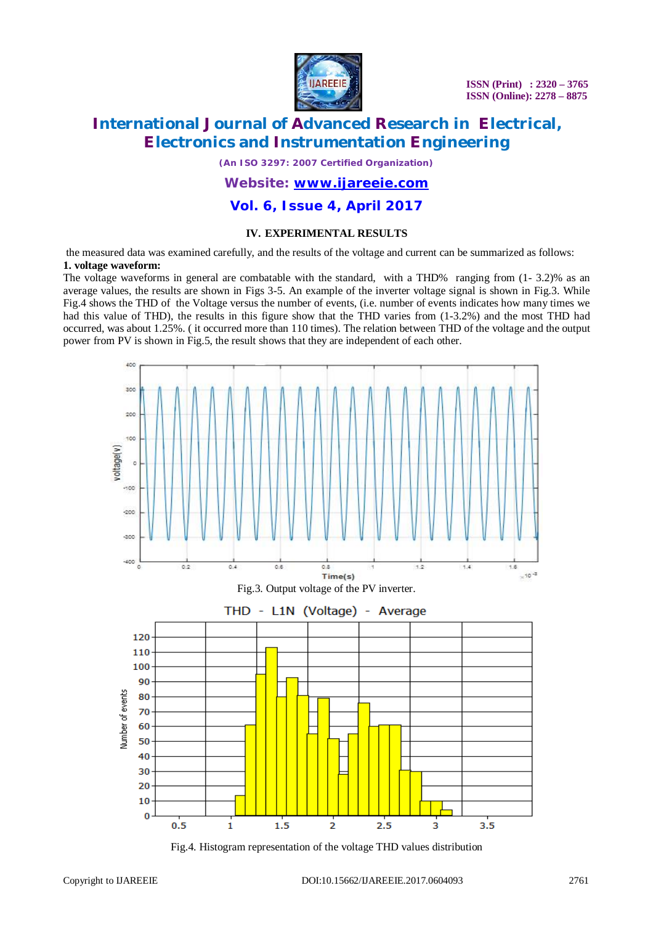

# **International Journal of Advanced Research in Electrical, Electronics and Instrumentation Engineering**

*(An ISO 3297: 2007 Certified Organization)*

#### *Website: [www.ijareeie.com](http://www.ijareeie.com)*

### **Vol. 6, Issue 4, April 2017**

#### **IV. EXPERIMENTAL RESULTS**

the measured data was examined carefully, and the results of the voltage and current can be summarized as follows: **1. voltage waveform:** 

The voltage waveforms in general are combatable with the standard, with a THD% ranging from (1- 3.2)% as an average values, the results are shown in Figs 3-5. An example of the inverter voltage signal is shown in Fig.3. While Fig.4 shows the THD of the Voltage versus the number of events, (i.e. number of events indicates how many times we had this value of THD), the results in this figure show that the THD varies from  $(1-3.2%)$  and the most THD had occurred, was about 1.25%. ( it occurred more than 110 times). The relation between THD of the voltage and the output power from PV is shown in Fig.5, the result shows that they are independent of each other.



Fig.4. Histogram representation of the voltage THD values distribution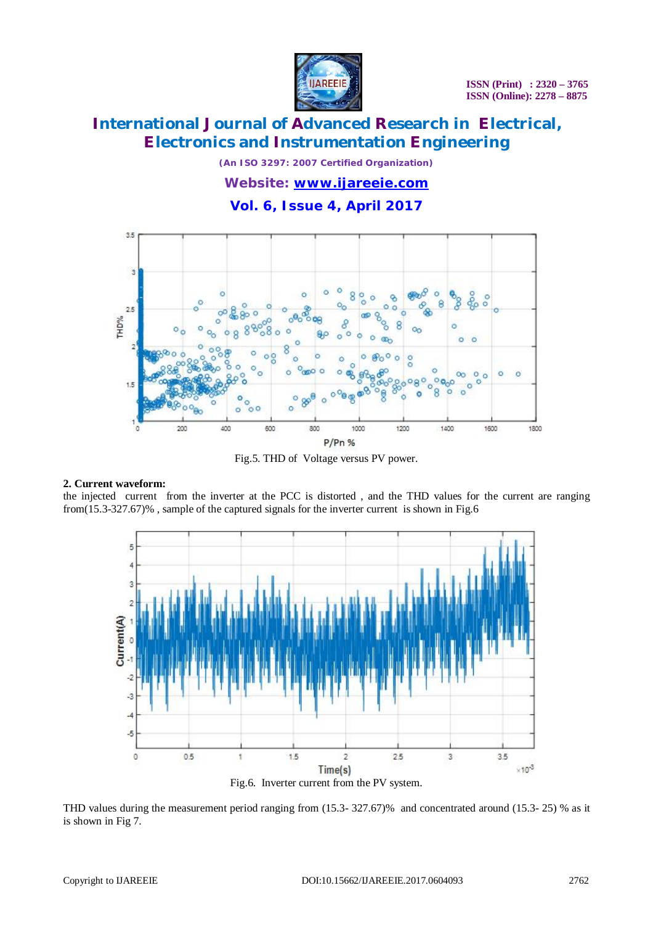

*(An ISO 3297: 2007 Certified Organization)*

*Website: [www.ijareeie.com](http://www.ijareeie.com)*

### **Vol. 6, Issue 4, April 2017**



Fig.5. THD of Voltage versus PV power.

#### **2. Current waveform:**

the injected current from the inverter at the PCC is distorted , and the THD values for the current are ranging from(15.3-327.67)% , sample of the captured signals for the inverter current is shown in Fig.6



THD values during the measurement period ranging from (15.3- 327.67)% and concentrated around (15.3- 25) % as it is shown in Fig 7.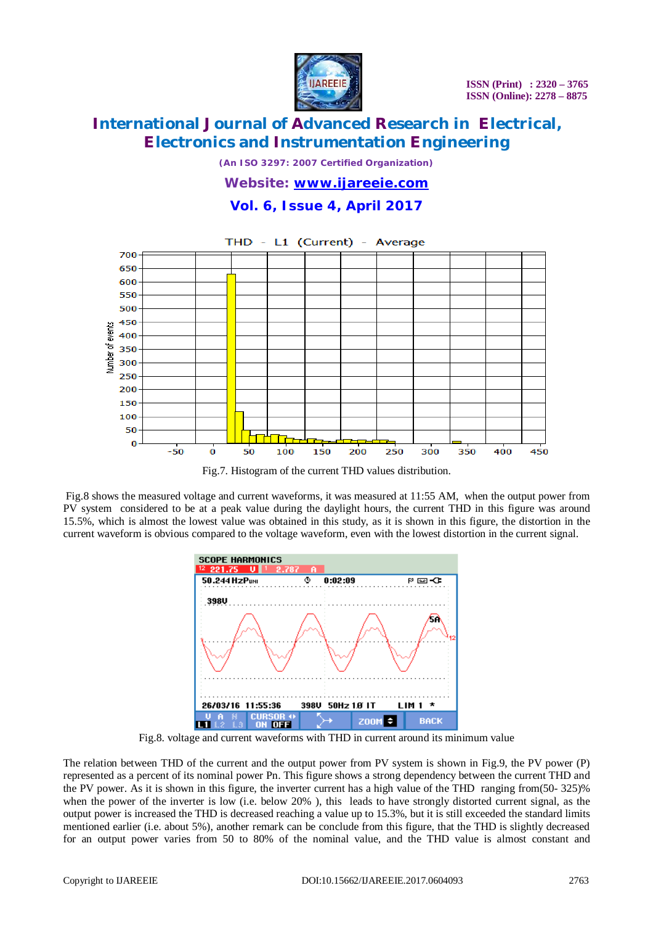

*(An ISO 3297: 2007 Certified Organization)*

#### *Website: [www.ijareeie.com](http://www.ijareeie.com)*

### **Vol. 6, Issue 4, April 2017**



Fig.7. Histogram of the current THD values distribution.

Fig.8 shows the measured voltage and current waveforms, it was measured at 11:55 AM, when the output power from PV system considered to be at a peak value during the daylight hours, the current THD in this figure was around 15.5%, which is almost the lowest value was obtained in this study, as it is shown in this figure, the distortion in the current waveform is obvious compared to the voltage waveform, even with the lowest distortion in the current signal.



Fig.8. voltage and current waveforms with THD in current around its minimum value

The relation between THD of the current and the output power from PV system is shown in Fig.9, the PV power (P) represented as a percent of its nominal power Pn. This figure shows a strong dependency between the current THD and the PV power. As it is shown in this figure, the inverter current has a high value of the THD ranging from(50- 325)% when the power of the inverter is low (i.e. below 20% ), this leads to have strongly distorted current signal, as the output power is increased the THD is decreased reaching a value up to 15.3%, but it is still exceeded the standard limits mentioned earlier (i.e. about 5%), another remark can be conclude from this figure, that the THD is slightly decreased for an output power varies from 50 to 80% of the nominal value, and the THD value is almost constant and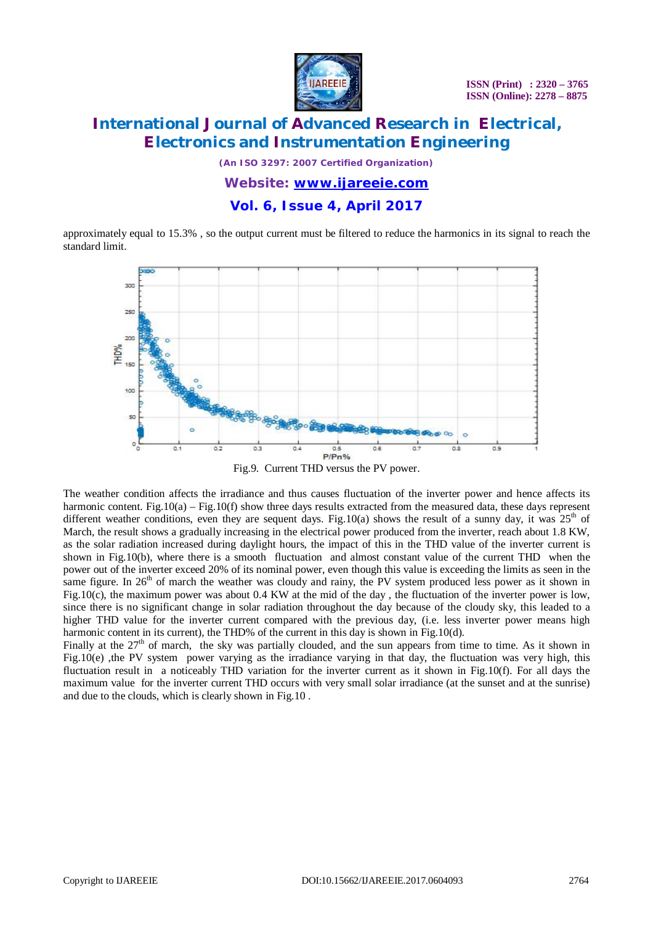

# **International Journal of Advanced Research in Electrical, Electronics and Instrumentation Engineering**

*(An ISO 3297: 2007 Certified Organization)*

*Website: [www.ijareeie.com](http://www.ijareeie.com)*

### **Vol. 6, Issue 4, April 2017**

approximately equal to 15.3% , so the output current must be filtered to reduce the harmonics in its signal to reach the standard limit.



Fig.9. Current THD versus the PV power.

The weather condition affects the irradiance and thus causes fluctuation of the inverter power and hence affects its harmonic content. Fig.10(a) – Fig.10(f) show three days results extracted from the measured data, these days represent different weather conditions, even they are sequent days. Fig.10(a) shows the result of a sunny day, it was  $25<sup>th</sup>$  of March, the result shows a gradually increasing in the electrical power produced from the inverter, reach about 1.8 KW, as the solar radiation increased during daylight hours, the impact of this in the THD value of the inverter current is shown in Fig.10(b), where there is a smooth fluctuation and almost constant value of the current THD when the power out of the inverter exceed 20% of its nominal power, even though this value is exceeding the limits as seen in the same figure. In  $26<sup>th</sup>$  of march the weather was cloudy and rainy, the PV system produced less power as it shown in Fig.10(c), the maximum power was about 0.4 KW at the mid of the day, the fluctuation of the inverter power is low, since there is no significant change in solar radiation throughout the day because of the cloudy sky, this leaded to a higher THD value for the inverter current compared with the previous day, (i.e. less inverter power means high harmonic content in its current), the THD% of the current in this day is shown in Fig.10(d).

Finally at the  $27<sup>th</sup>$  of march, the sky was partially clouded, and the sun appears from time to time. As it shown in Fig.10(e), the PV system power varying as the irradiance varying in that day, the fluctuation was very high, this fluctuation result in a noticeably THD variation for the inverter current as it shown in Fig.10(f). For all days the maximum value for the inverter current THD occurs with very small solar irradiance (at the sunset and at the sunrise) and due to the clouds, which is clearly shown in Fig.10 .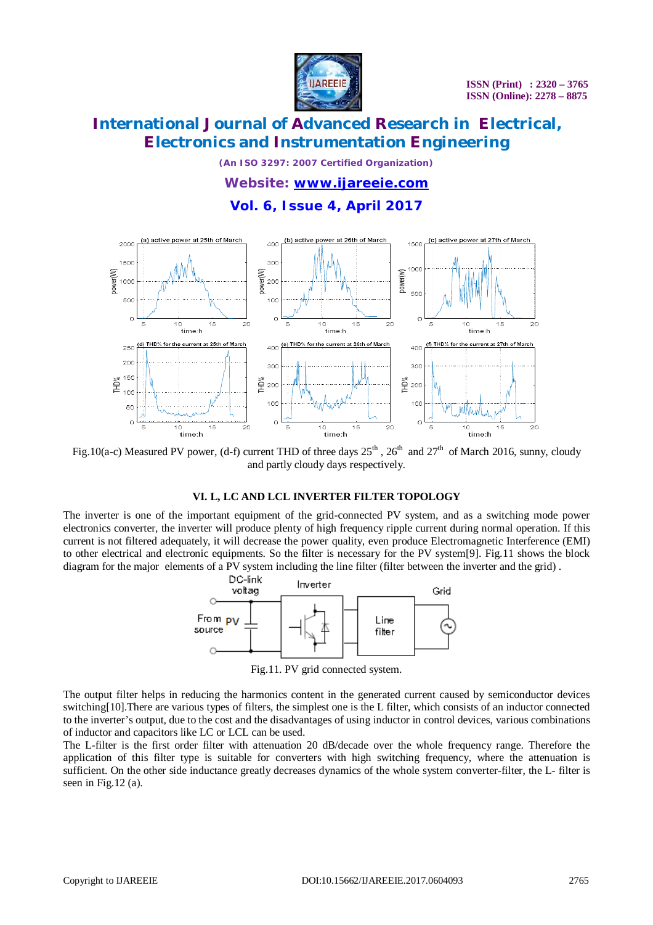

*(An ISO 3297: 2007 Certified Organization)*

*Website: [www.ijareeie.com](http://www.ijareeie.com)*

### **Vol. 6, Issue 4, April 2017**



Fig.10(a-c) Measured PV power, (d-f) current THD of three days  $25^{th}$ ,  $26^{th}$  and  $27^{th}$  of March 2016, sunny, cloudy and partly cloudy days respectively.

#### **VI. L, LC AND LCL INVERTER FILTER TOPOLOGY**

The inverter is one of the important equipment of the grid-connected PV system, and as a switching mode power electronics converter, the inverter will produce plenty of high frequency ripple current during normal operation. If this current is not filtered adequately, it will decrease the power quality, even produce Electromagnetic Interference (EMI) to other electrical and electronic equipments. So the filter is necessary for the PV system[9]. Fig.11 shows the block diagram for the major elements of a PV system including the line filter (filter between the inverter and the grid) .



Fig.11. PV grid connected system.

The output filter helps in reducing the harmonics content in the generated current caused by semiconductor devices switching[10].There are various types of filters, the simplest one is the L filter, which consists of an inductor connected to the inverter's output, due to the cost and the disadvantages of using inductor in control devices, various combinations of inductor and capacitors like LC or LCL can be used.

The L-filter is the first order filter with attenuation 20 dB/decade over the whole frequency range. Therefore the application of this filter type is suitable for converters with high switching frequency, where the attenuation is sufficient. On the other side inductance greatly decreases dynamics of the whole system converter-filter, the L- filter is seen in Fig.12 (a).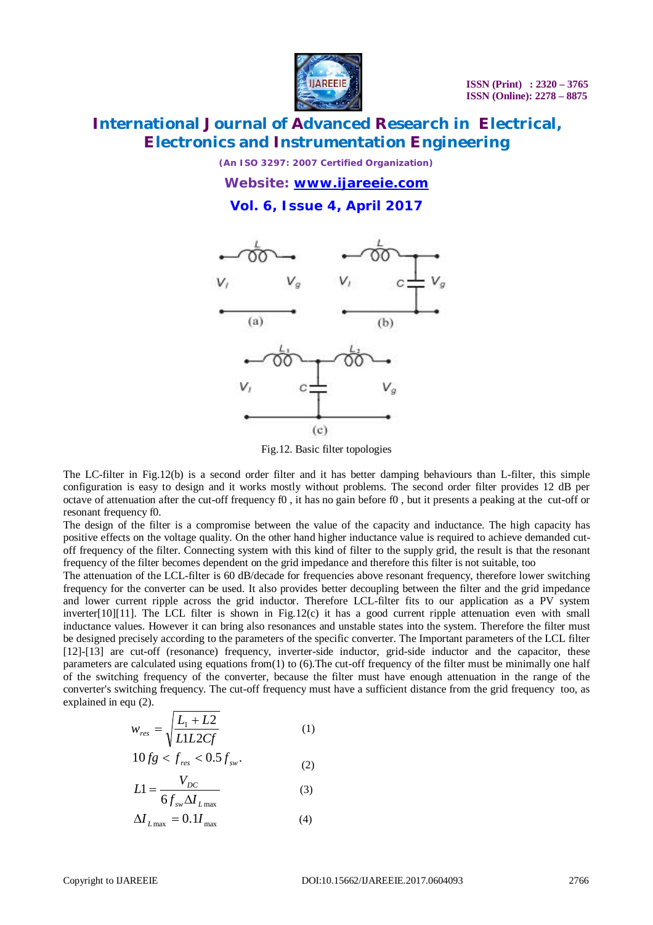

*(An ISO 3297: 2007 Certified Organization)*

*Website: [www.ijareeie.com](http://www.ijareeie.com)*

**Vol. 6, Issue 4, April 2017**



Fig.12. Basic filter topologies

The LC-filter in Fig.12(b) is a second order filter and it has better damping behaviours than L-filter, this simple configuration is easy to design and it works mostly without problems. The second order filter provides 12 dB per octave of attenuation after the cut-off frequency  $f_0$ , it has no gain before  $f_0$ , but it presents a peaking at the cut-off or resonant frequency f0.

The design of the filter is a compromise between the value of the capacity and inductance. The high capacity has positive effects on the voltage quality. On the other hand higher inductance value is required to achieve demanded cutoff frequency of the filter. Connecting system with this kind of filter to the supply grid, the result is that the resonant frequency of the filter becomes dependent on the grid impedance and therefore this filter is not suitable, too

The attenuation of the LCL-filter is 60 dB/decade for frequencies above resonant frequency, therefore lower switching frequency for the converter can be used. It also provides better decoupling between the filter and the grid impedance and lower current ripple across the grid inductor. Therefore LCL-filter fits to our application as a PV system inverter[10][11]. The LCL filter is shown in Fig.12(c) it has a good current ripple attenuation even with small inductance values. However it can bring also resonances and unstable states into the system. Therefore the filter must be designed precisely according to the parameters of the specific converter. The Important parameters of the LCL filter [12]-[13] are cut-off (resonance) frequency, inverter-side inductor, grid-side inductor and the capacitor, these parameters are calculated using equations from(1) to (6).The cut-off frequency of the filter must be minimally one half of the switching frequency of the converter, because the filter must have enough attenuation in the range of the converter's switching frequency. The cut-off frequency must have a sufficient distance from the grid frequency too, as explained in equ (2).

$$
w_{res} = \sqrt{\frac{L_1 + L2}{L1L2Cf}}
$$
 (1)

$$
10fg < f_{\text{res}} < 0.5f_{\text{sw}}.\tag{2}
$$

$$
L1 = \frac{V_{DC}}{6f_{sw}\Delta I_{L\text{max}}}
$$
 (3)

$$
\Delta I_{L\text{max}} = 0.1 I_{\text{max}} \tag{4}
$$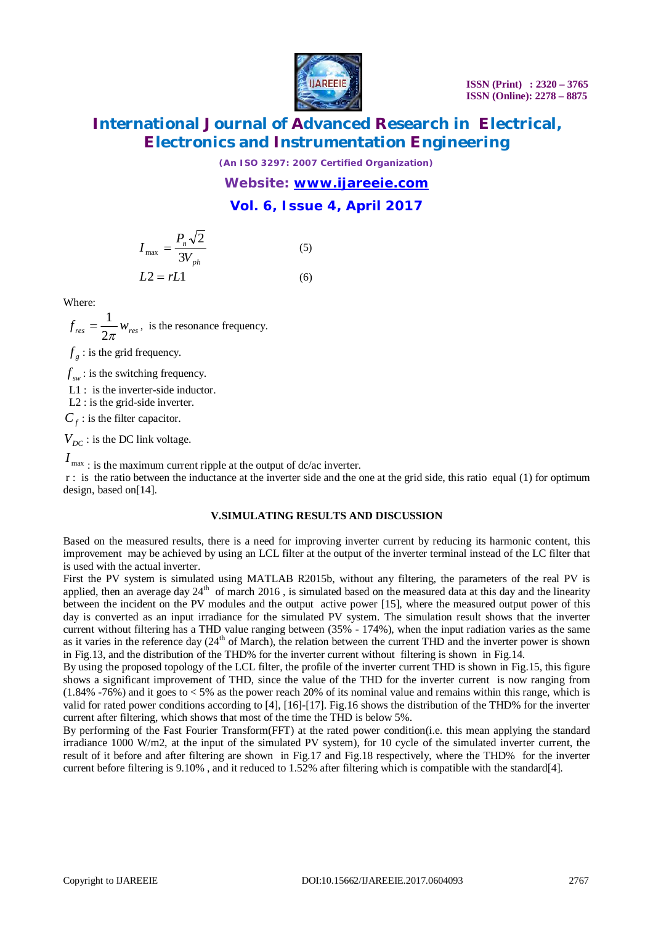

*(An ISO 3297: 2007 Certified Organization)*

*Website: [www.ijareeie.com](http://www.ijareeie.com)*

### **Vol. 6, Issue 4, April 2017**

$$
I_{\max} = \frac{P_n \sqrt{2}}{3V_{ph}} \tag{5}
$$

$$
L2 = rL1 \tag{6}
$$

Where:

 $f_{res} = \frac{1}{2}W_{res}$  $2\pi$  $=\frac{1}{2}w_{res}$ , is the resonance frequency.

 $f<sub>g</sub>$ : is the grid frequency.

 $f_{sw}$ : is the switching frequency.

L1 : is the inverter-side inductor.

L2 : is the grid-side inverter.

 $C_f$ : is the filter capacitor.

 $V_{DC}$ : is the DC link voltage.

 $I_{\text{max}}$ : is the maximum current ripple at the output of dc/ac inverter.

r : is the ratio between the inductance at the inverter side and the one at the grid side, this ratio equal (1) for optimum design, based on[14].

#### **V.SIMULATING RESULTS AND DISCUSSION**

Based on the measured results, there is a need for improving inverter current by reducing its harmonic content, this improvement may be achieved by using an LCL filter at the output of the inverter terminal instead of the LC filter that is used with the actual inverter.

First the PV system is simulated using MATLAB R2015b, without any filtering, the parameters of the real PV is applied, then an average day  $24<sup>th</sup>$  of march 2016, is simulated based on the measured data at this day and the linearity between the incident on the PV modules and the output active power [15], where the measured output power of this day is converted as an input irradiance for the simulated PV system. The simulation result shows that the inverter current without filtering has a THD value ranging between (35% - 174%), when the input radiation varies as the same as it varies in the reference day (24<sup>th</sup> of March), the relation between the current THD and the inverter power is shown in Fig.13, and the distribution of the THD% for the inverter current without filtering is shown in Fig.14.

By using the proposed topology of the LCL filter, the profile of the inverter current THD is shown in Fig.15, this figure shows a significant improvement of THD, since the value of the THD for the inverter current is now ranging from  $(1.84\% - 76\%)$  and it goes to  $\lt 5\%$  as the power reach 20% of its nominal value and remains within this range, which is valid for rated power conditions according to [4], [16]-[17]. Fig.16 shows the distribution of the THD% for the inverter current after filtering, which shows that most of the time the THD is below 5%.

By performing of the Fast Fourier Transform(FFT) at the rated power condition(i.e. this mean applying the standard irradiance 1000 W/m2, at the input of the simulated PV system), for 10 cycle of the simulated inverter current, the result of it before and after filtering are shown in Fig.17 and Fig.18 respectively, where the THD% for the inverter current before filtering is 9.10% , and it reduced to 1.52% after filtering which is compatible with the standard[4].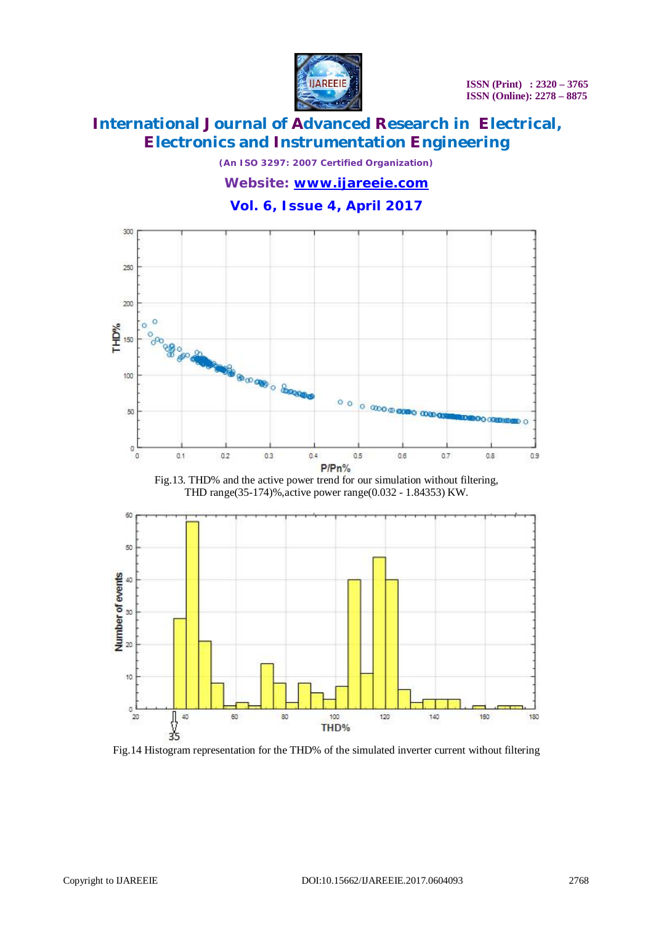

*(An ISO 3297: 2007 Certified Organization)*

*Website: [www.ijareeie.com](http://www.ijareeie.com)*

### **Vol. 6, Issue 4, April 2017**



THD range(35-174)%,active power range(0.032 - 1.84353) KW.



Fig.14 Histogram representation for the THD% of the simulated inverter current without filtering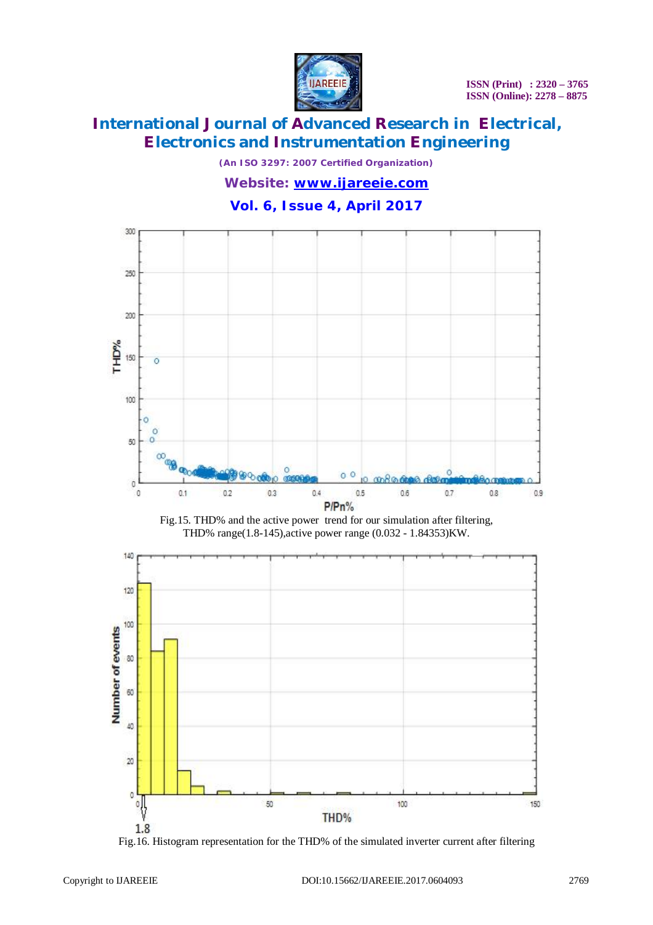

*(An ISO 3297: 2007 Certified Organization)*

*Website: [www.ijareeie.com](http://www.ijareeie.com)*

### **Vol. 6, Issue 4, April 2017**







Fig.16. Histogram representation for the THD% of the simulated inverter current after filtering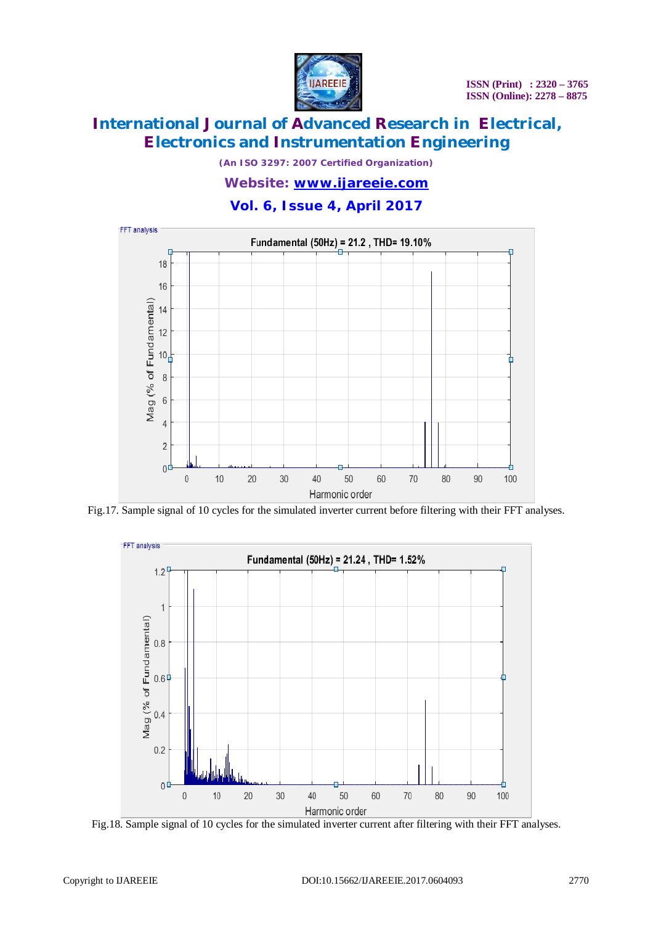

*(An ISO 3297: 2007 Certified Organization)*

#### *Website: [www.ijareeie.com](http://www.ijareeie.com)*

### **Vol. 6, Issue 4, April 2017**



Fig.17. Sample signal of 10 cycles for the simulated inverter current before filtering with their FFT analyses.



Fig.18. Sample signal of 10 cycles for the simulated inverter current after filtering with their FFT analyses.